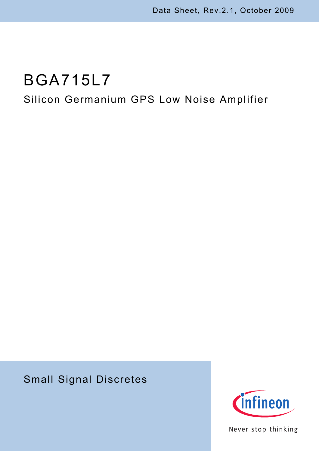# BGA715L7

## Silicon Germanium GPS Low Noise Amplifier

## Small Signal Discretes



Never stop thinking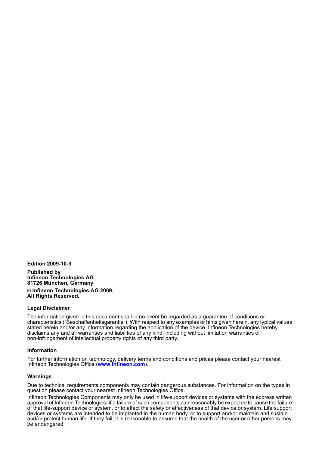**Edition 2009-10-9**

**Published by Infineon Technologies AG 81726 München, Germany © Infineon Technologies AG 2009. All Rights Reserved.**

#### **Legal Disclaimer**

The information given in this document shall in no event be regarded as a guarantee of conditions or characteristics ("Beschaffenheitsgarantie"). With respect to any examples or hints given herein, any typical values stated herein and/or any information regarding the application of the device, Infineon Technologies hereby disclaims any and all warranties and liabilities of any kind, including without limitation warranties of non-infringement of intellectual property rights of any third party.

#### **Information**

For further information on technology, delivery terms and conditions and prices please contact your nearest Infineon Technologies Office (**[www.infineon.com](http://www.infineon.com)**).

#### **Warnings**

Due to technical requirements components may contain dangerous substances. For information on the types in question please contact your nearest Infineon Technologies Office.

Infineon Technologies Components may only be used in life-support devices or systems with the express written approval of Infineon Technologies, if a failure of such components can reasonably be expected to cause the failure of that life-support device or system, or to affect the safety or effectiveness of that device or system. Life support devices or systems are intended to be implanted in the human body, or to support and/or maintain and sustain and/or protect human life. If they fail, it is reasonable to assume that the health of the user or other persons may be endangered.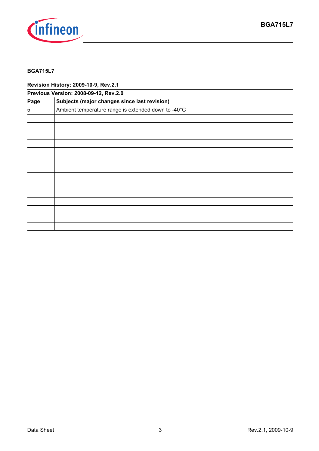

#### **BGA715L7**

**Revision History: 2009-10-9, Rev.2.1**

| Previous Version: 2008-09-12, Rev.2.0 |                                                     |  |  |  |
|---------------------------------------|-----------------------------------------------------|--|--|--|
| Page                                  | Subjects (major changes since last revision)        |  |  |  |
| 5                                     | Ambient temperature range is extended down to -40°C |  |  |  |
|                                       |                                                     |  |  |  |
|                                       |                                                     |  |  |  |
|                                       |                                                     |  |  |  |
|                                       |                                                     |  |  |  |
|                                       |                                                     |  |  |  |
|                                       |                                                     |  |  |  |
|                                       |                                                     |  |  |  |
|                                       |                                                     |  |  |  |
|                                       |                                                     |  |  |  |
|                                       |                                                     |  |  |  |
|                                       |                                                     |  |  |  |
|                                       |                                                     |  |  |  |
|                                       |                                                     |  |  |  |
|                                       |                                                     |  |  |  |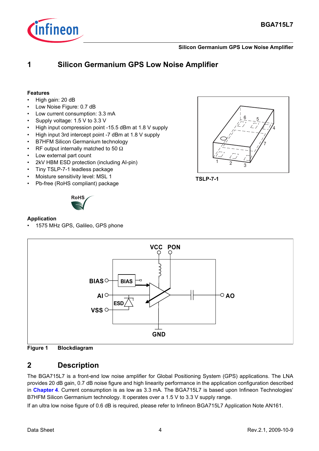

#### **Silicon Germanium GPS Low Noise Amplifier**

## **1 Silicon Germanium GPS Low Noise Amplifier**

#### **Features**

- High gain: 20 dB
- Low Noise Figure: 0.7 dB
- Low current consumption: 3.3 mA
- Supply voltage: 1.5 V to 3.3 V
- High input compression point -15.5 dBm at 1.8 V supply
- High input 3rd intercept point -7 dBm at 1.8 V supply
- B7HFM Silicon Germanium technology
- RF output internally matched to 50  $\Omega$
- Low external part count
- 2kV HBM ESD protection (including AI-pin)
- Tiny TSLP-7-1 leadless package
- Moisture sensitivity level: MSL 1
- Pb-free (RoHS compliant) package



#### **Application**

1575 MHz GPS, Galileo, GPS phone









### **2 Description**

The BGA715L7 is a front-end low noise amplifier for Global Positioning System (GPS) applications. The LNA provides 20 dB gain, 0.7 dB noise figure and high linearity performance in the application configuration described in **[Chapter 4](#page-6-0)**. Current consumption is as low as 3.3 mA. The BGA715L7 is based upon Infineon Technologies' B7HFM Silicon Germanium technology. It operates over a 1.5 V to 3.3 V supply range.

If an ultra low noise figure of 0.6 dB is required, please refer to Infineon BGA715L7 Application Note AN161.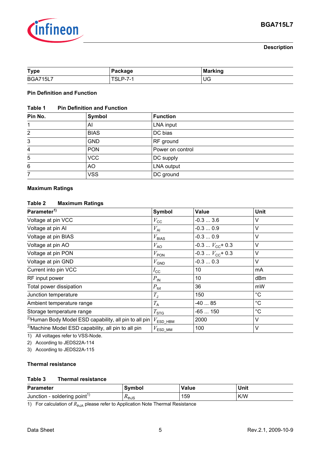

#### **Description**

| <b>Type</b>     | Package | <b>Marking</b> |
|-----------------|---------|----------------|
| <b>BGA715L7</b> | . P-7-  | UG             |

#### **Pin Definition and Function**

#### **Table 1 Pin Definition and Function**

| Pin No.        | Symbol      | <b>Function</b>  |  |  |
|----------------|-------------|------------------|--|--|
|                | AI          | LNA input        |  |  |
| $\overline{2}$ | <b>BIAS</b> | DC bias          |  |  |
| 3              | <b>GND</b>  | RF ground        |  |  |
| 4              | <b>PON</b>  | Power on control |  |  |
| 5              | <b>VCC</b>  | DC supply        |  |  |
| 6              | AO          | LNA output       |  |  |
|                | <b>VSS</b>  | DC ground        |  |  |

#### **Maximum Ratings**

#### **Table 2 Maximum Ratings**

| Parameter <sup>1)</sup>                                           | <b>Symbol</b>                    | <b>Value</b>                 | Unit        |  |
|-------------------------------------------------------------------|----------------------------------|------------------------------|-------------|--|
| Voltage at pin VCC                                                | $V_{\rm CC}$                     | $-0.33.6$                    | V           |  |
| Voltage at pin Al                                                 | $V_{\mathsf{Al}}$                | $-0.30.9$                    | V           |  |
| Voltage at pin BIAS                                               | $V_{B AS}$                       | $-0.30.9$                    | V           |  |
| Voltage at pin AO                                                 | $V_{\rm AO}$                     | $-0.3$ $V_{\text{CC}}$ + 0.3 | V           |  |
| Voltage at pin PON                                                | $V_{\text{PON}}$                 | $-0.3V_{CC}$ + 0.3           | V           |  |
| Voltage at pin GND                                                | $V_{\text{GND}}$                 | $-0.30.3$                    | $\vee$      |  |
| Current into pin VCC                                              | $I_{\rm CC}$                     | 10                           | mA          |  |
| RF input power                                                    | $P_{\sf IN}$                     | 10                           | dBm         |  |
| Total power dissipation                                           | $P_{\text{tot}}$                 | 36                           | mW          |  |
| Junction temperature                                              | $T_{\rm J}$                      | 150                          | $^{\circ}C$ |  |
| Ambient temperature range                                         | $T_{\rm A}$                      | $-4085$                      | $^{\circ}C$ |  |
| Storage temperature range                                         | $T_{\text{STG}}$                 | -65  150                     | $^{\circ}C$ |  |
| <sup>2)</sup> Human Body Model ESD capability, all pin to all pin | $V_{\mathsf{ESD}\_\mathsf{HBM}}$ | 2000                         | V           |  |
| <sup>3)</sup> Machine Model ESD capability, all pin to all pin    | $V_{\textsf{ESD}}$ <sub>MM</sub> | 100                          | $\vee$      |  |

1) All voltages refer to VSS-Node.

2) According to JEDS22A-114

3) According to JEDS22A-115

#### **Thermal resistance**

#### **Table 3 Thermal resistance**

| <b>Parameter</b>                         | Symbol                     | <b>Value</b> | Unit |
|------------------------------------------|----------------------------|--------------|------|
| Junction - soldering point <sup>1)</sup> | $\Lambda$ <sub>th</sub> JS | 159          | K/W  |

1) For calculation of  $R_{thJA}$  please refer to Application Note Thermal Resistance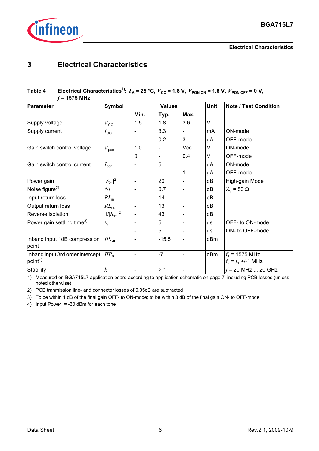

#### **Electrical Characteristics**

## **3 Electrical Characteristics**

#### **Table 4** Electrical Characteristics<sup>1)</sup>:  $T_A = 25 \text{ °C}$ ,  $V_{\text{CC}} = 1.8 \text{ V}$ ,  $V_{\text{PON,ON}} = 1.8 \text{ V}$ ,  $V_{\text{PON,OFF}} = 0 \text{ V}$ , *f* **= 1575 MHz**

| <b>Parameter</b>                                        | <b>Symbol</b>                | <b>Values</b>            |         |                              | <b>Unit</b> | <b>Note / Test Condition</b>               |
|---------------------------------------------------------|------------------------------|--------------------------|---------|------------------------------|-------------|--------------------------------------------|
|                                                         |                              | Min.                     | Typ.    | Max.                         |             |                                            |
| Supply voltage                                          | $V_{\rm CC}$                 | 1.5                      | 1.8     | 3.6                          | $\vee$      |                                            |
| Supply current                                          | $I_{\rm CC}$                 |                          | 3.3     |                              | mA          | ON-mode                                    |
|                                                         |                              | $\blacksquare$           | 0.2     | 3                            | $\mu$ A     | OFF-mode                                   |
| Gain switch control voltage                             | $V_{\text{pon}}$             | 1.0                      |         | Vcc                          | V           | ON-mode                                    |
|                                                         |                              | 0                        |         | 0.4                          | V           | OFF-mode                                   |
| Gain switch control current                             | $I_{\mathsf{pon}}$           |                          | 5       |                              | μA          | ON-mode                                    |
|                                                         |                              |                          |         | 1                            | μA          | OFF-mode                                   |
| Power gain                                              | $ S_{21} ^2$                 | $\overline{\phantom{a}}$ | 20      | $\blacksquare$               | dB          | High-gain Mode                             |
| Noise figure <sup>2)</sup>                              | $N\!F$                       | $\blacksquare$           | 0.7     | -                            | dB          | $Z_{\rm s}$ = 50 $\Omega$                  |
| Input return loss                                       | $RL_{in}$                    | $\blacksquare$           | 14      | $\overline{\phantom{a}}$     | dB          |                                            |
| Output return loss                                      | $RL_{\text{out}}$            | $\blacksquare$           | 13      |                              | dB          |                                            |
| Reverse isolation                                       | $1/ S_{12} ^2$               | $\blacksquare$           | 43      |                              | dB          |                                            |
| Power gain settling time <sup>3)</sup>                  | $t_{\rm S}$                  | $\overline{\phantom{a}}$ | 5       | $\qquad \qquad \blacksquare$ | μs          | OFF- to ON-mode                            |
|                                                         |                              | $\overline{\phantom{a}}$ | 5       |                              | $\mu s$     | ON- to OFF-mode                            |
| Inband input 1dB compression<br>point                   | $\mathit{IP}_{\mathit{1dB}}$ |                          | $-15.5$ |                              | dBm         |                                            |
| Inband input 3rd order intercept<br>point <sup>4)</sup> | $\mathit{HP}_3$              |                          | $-7$    |                              | dBm         | $f_1$ = 1575 MHz<br>$f_2 = f_1 + (-1)$ MHz |
| Stability                                               | $\boldsymbol{k}$             |                          | >1      |                              |             | $f = 20$ MHz  20 GHz                       |

1) Measured on BGA715L7 application board according to application schematic on page 7, including PCB losses (unless noted otherwise)

2) PCB tranmission line- and connector losses of 0.05dB are subtracted

3) To be within 1 dB of the final gain OFF- to ON-mode; to be within 3 dB of the final gain ON- to OFF-mode

4) Input Power = -30 dBm for each tone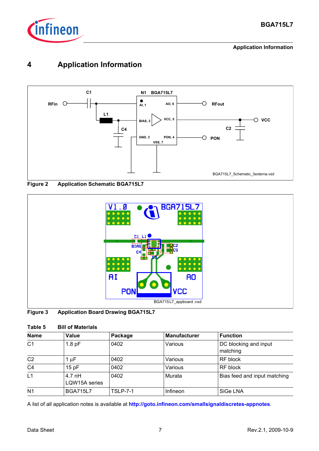

**Application Information**

## <span id="page-6-0"></span>**4 Application Information**







| Figure 3 | <b>Application Board Drawing BGA715L7</b> |  |  |
|----------|-------------------------------------------|--|--|
|          |                                           |  |  |

| Table 5 | <b>Bill of Materials</b> |
|---------|--------------------------|
|         |                          |

| <b>Name</b>    | Value                     | Package         | <b>Manufacturer</b> | <b>Function</b>                   |
|----------------|---------------------------|-----------------|---------------------|-----------------------------------|
| C <sub>1</sub> | 1.8 <sub>pF</sub>         | 0402            | Various             | DC blocking and input<br>matching |
| C <sub>2</sub> | 1 $\mu$ F                 | 0402            | Various             | RF block                          |
| C <sub>4</sub> | 15pF                      | 0402            | Various             | RF block                          |
| L1             | $4.7$ nH<br>LQW15A series | 0402            | Murata              | Bias feed and input matching      |
| N <sub>1</sub> | <b>BGA715L7</b>           | <b>TSLP-7-1</b> | Infineon            | SiGe LNA                          |

A list of all application notes is available at **http://goto.infineon.com/smallsignaldiscretes-appnotes**.